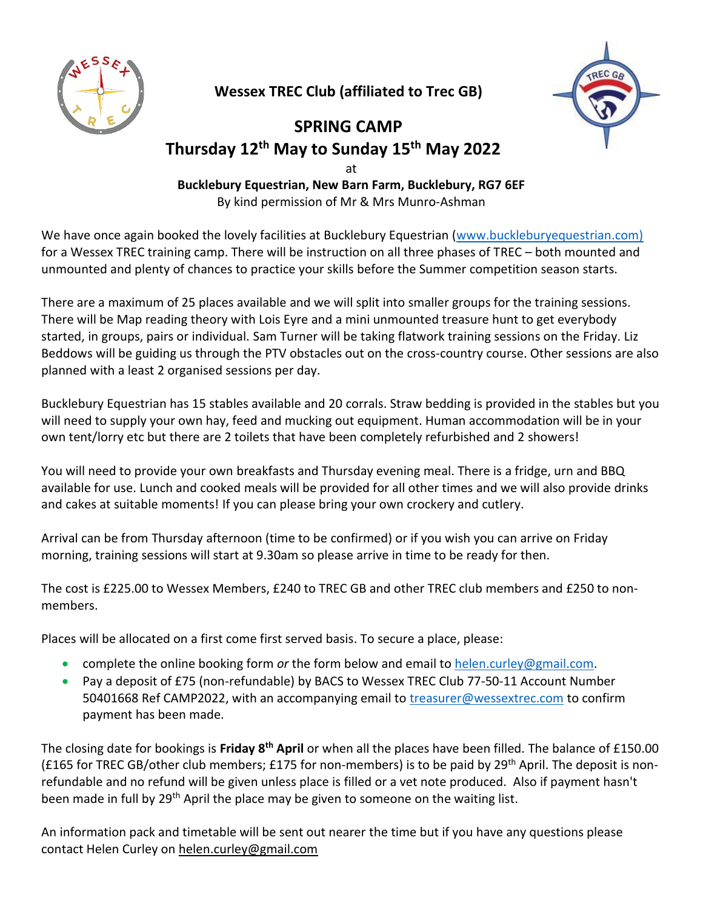

**Wessex TREC Club (affiliated to Trec GB)**



## **SPRING CAMP Thursday 12 th May to Sunday 15 th May 2022** at

**Bucklebury Equestrian, New Barn Farm, Bucklebury, RG7 6EF** By kind permission of Mr & Mrs Munro-Ashman

We have once again booked the lovely facilities at Bucklebury Equestrian [\(www.buckleburyequestrian.com\)](http://www.buckleburyequestrian.com)/) for a Wessex TREC training camp. There will be instruction on all three phases of TREC – both mounted and unmounted and plenty of chances to practice your skills before the Summer competition season starts.

There are a maximum of 25 places available and we will split into smaller groups for the training sessions. There will be Map reading theory with Lois Eyre and a mini unmounted treasure hunt to get everybody started, in groups, pairs or individual. Sam Turner will be taking flatwork training sessions on the Friday. Liz Beddows will be guiding us through the PTV obstacles out on the cross-country course. Other sessions are also planned with a least 2 organised sessions per day.

Bucklebury Equestrian has 15 stables available and 20 corrals. Straw bedding is provided in the stables but you will need to supply your own hay, feed and mucking out equipment. Human accommodation will be in your own tent/lorry etc but there are 2 toilets that have been completely refurbished and 2 showers!

You will need to provide your own breakfasts and Thursday evening meal. There is a fridge, urn and BBQ available for use. Lunch and cooked meals will be provided for all other times and we will also provide drinks and cakes at suitable moments! If you can please bring your own crockery and cutlery.

Arrival can be from Thursday afternoon (time to be confirmed) or if you wish you can arrive on Friday morning, training sessions will start at 9.30am so please arrive in time to be ready for then.

The cost is £225.00 to Wessex Members, £240 to TREC GB and other TREC club members and £250 to nonmembers.

Places will be allocated on a first come first served basis. To secure a place, please:

- complete the online booking form *or* the form below and email to [helen.curley@gmail.com.](mailto:helen.curley@gmail.com)
- Pay a deposit of £75 (non-refundable) by BACS to Wessex TREC Club 77-50-11 Account Number 50401668 Ref CAMP2022, with an accompanying email to [treasurer@wessextrec.com](mailto:treasurer@wessextrec.com) to confirm payment has been made.

The closing date for bookings is Friday 8<sup>th</sup> April or when all the places have been filled. The balance of £150.00 (£165 for TREC GB/other club members; £175 for non-members) is to be paid by 29<sup>th</sup> April. The deposit is nonrefundable and no refund will be given unless place is filled or a vet note produced. Also if payment hasn't been made in full by 29<sup>th</sup> April the place may be given to someone on the waiting list.

An information pack and timetable will be sent out nearer the time but if you have any questions please contact Helen Curley on [helen.curley@gmail.com](mailto:helen.curley@gmail.com)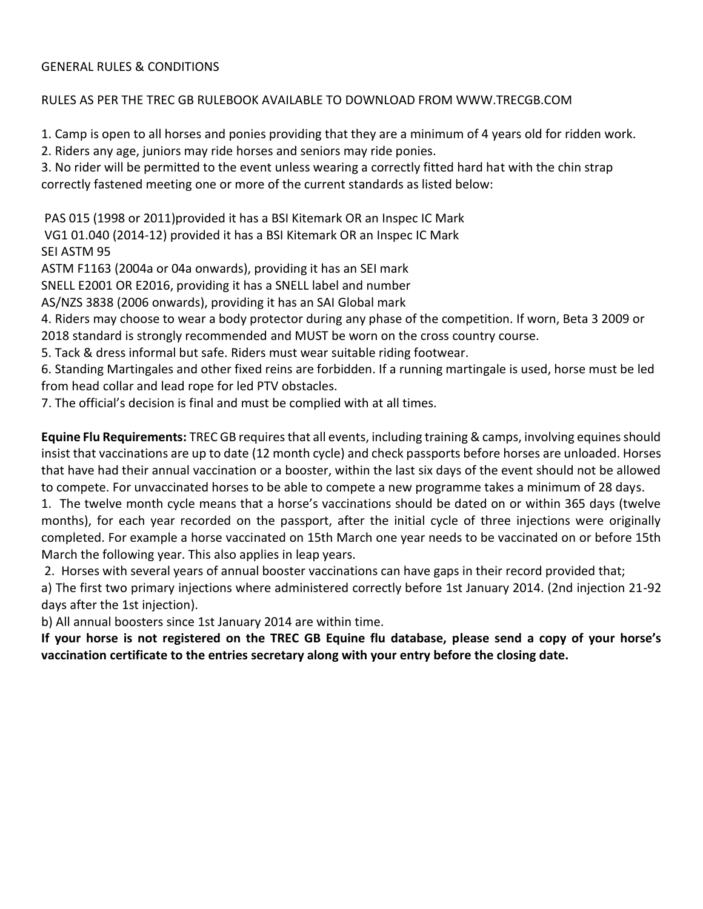## GENERAL RULES & CONDITIONS

## RULES AS PER THE TREC GB RULEBOOK AVAILABLE TO DOWNLOAD FROM WWW.TRECGB.COM

1. Camp is open to all horses and ponies providing that they are a minimum of 4 years old for ridden work.

2. Riders any age, juniors may ride horses and seniors may ride ponies.

3. No rider will be permitted to the event unless wearing a correctly fitted hard hat with the chin strap correctly fastened meeting one or more of the current standards as listed below:

PAS 015 (1998 or 2011)provided it has a BSI Kitemark OR an Inspec IC Mark

VG1 01.040 (2014-12) provided it has a BSI Kitemark OR an Inspec IC Mark

SEI ASTM 95

ASTM F1163 (2004a or 04a onwards), providing it has an SEI mark

SNELL E2001 OR E2016, providing it has a SNELL label and number

AS/NZS 3838 (2006 onwards), providing it has an SAI Global mark

4. Riders may choose to wear a body protector during any phase of the competition. If worn, Beta 3 2009 or 2018 standard is strongly recommended and MUST be worn on the cross country course.

5. Tack & dress informal but safe. Riders must wear suitable riding footwear.

6. Standing Martingales and other fixed reins are forbidden. If a running martingale is used, horse must be led from head collar and lead rope for led PTV obstacles.

7. The official's decision is final and must be complied with at all times.

**Equine Flu Requirements:** TREC GB requires that all events, including training & camps, involving equines should insist that vaccinations are up to date (12 month cycle) and check passports before horses are unloaded. Horses that have had their annual vaccination or a booster, within the last six days of the event should not be allowed to compete. For unvaccinated horses to be able to compete a new programme takes a minimum of 28 days.

1. The twelve month cycle means that a horse's vaccinations should be dated on or within 365 days (twelve months), for each year recorded on the passport, after the initial cycle of three injections were originally completed. For example a horse vaccinated on 15th March one year needs to be vaccinated on or before 15th March the following year. This also applies in leap years.

2. Horses with several years of annual booster vaccinations can have gaps in their record provided that;

a) The first two primary injections where administered correctly before 1st January 2014. (2nd injection 21-92 days after the 1st injection).

b) All annual boosters since 1st January 2014 are within time.

**If your horse is not registered on the TREC GB Equine flu database, please send a copy of your horse's vaccination certificate to the entries secretary along with your entry before the closing date.**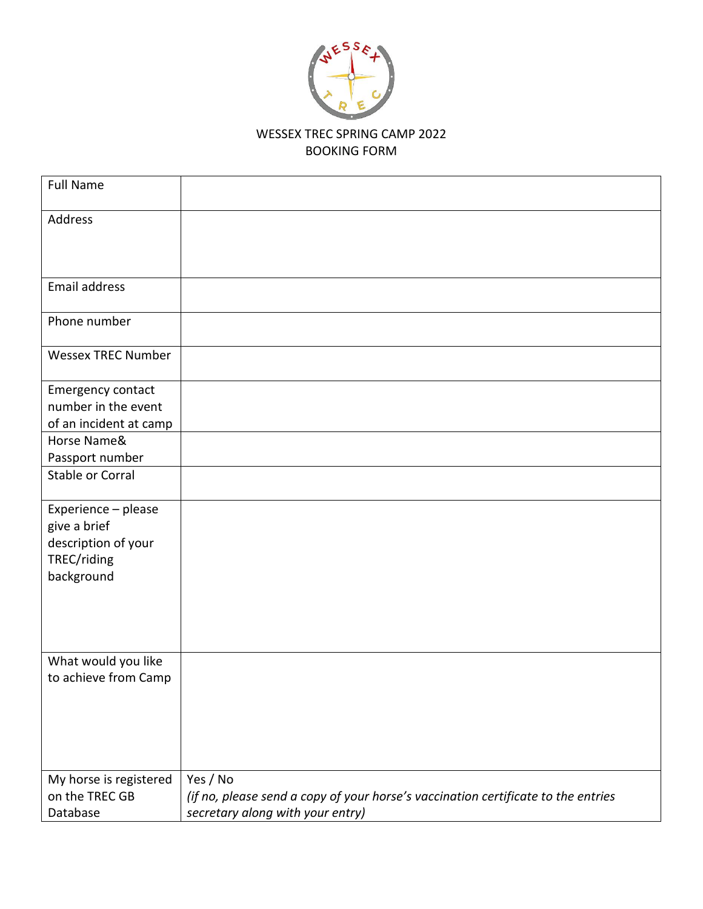

## WESSEX TREC SPRING CAMP 2022 BOOKING FORM

| <b>Full Name</b>          |                                                                                   |
|---------------------------|-----------------------------------------------------------------------------------|
| Address                   |                                                                                   |
| Email address             |                                                                                   |
| Phone number              |                                                                                   |
| <b>Wessex TREC Number</b> |                                                                                   |
| Emergency contact         |                                                                                   |
| number in the event       |                                                                                   |
| of an incident at camp    |                                                                                   |
| Horse Name&               |                                                                                   |
| Passport number           |                                                                                   |
| <b>Stable or Corral</b>   |                                                                                   |
| Experience - please       |                                                                                   |
| give a brief              |                                                                                   |
| description of your       |                                                                                   |
| TREC/riding               |                                                                                   |
| background                |                                                                                   |
|                           |                                                                                   |
|                           |                                                                                   |
|                           |                                                                                   |
| What would you like       |                                                                                   |
| to achieve from Camp      |                                                                                   |
|                           |                                                                                   |
|                           |                                                                                   |
|                           |                                                                                   |
|                           |                                                                                   |
|                           |                                                                                   |
| My horse is registered    | Yes / No                                                                          |
| on the TREC GB            | (if no, please send a copy of your horse's vaccination certificate to the entries |
| Database                  | secretary along with your entry)                                                  |